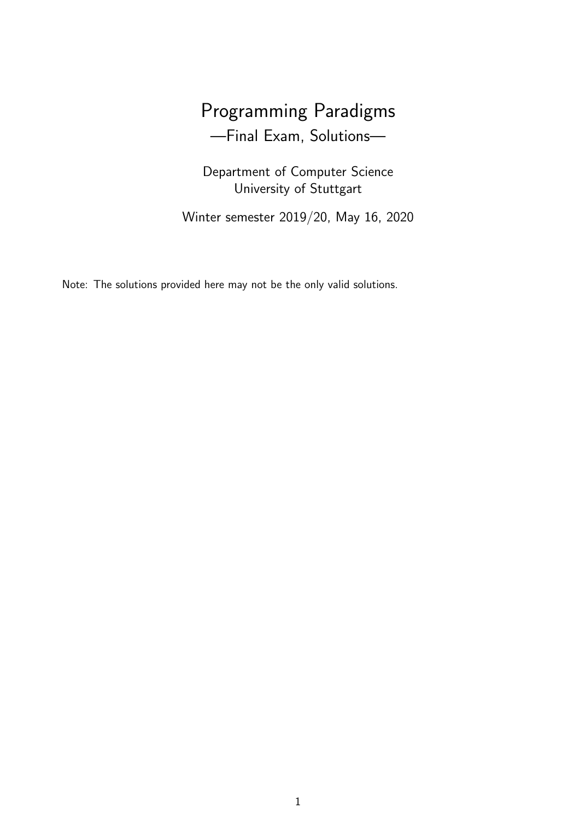# Programming Paradigms —Final Exam, Solutions—

Department of Computer Science University of Stuttgart

Winter semester 2019/20, May 16, 2020

Note: The solutions provided here may not be the only valid solutions.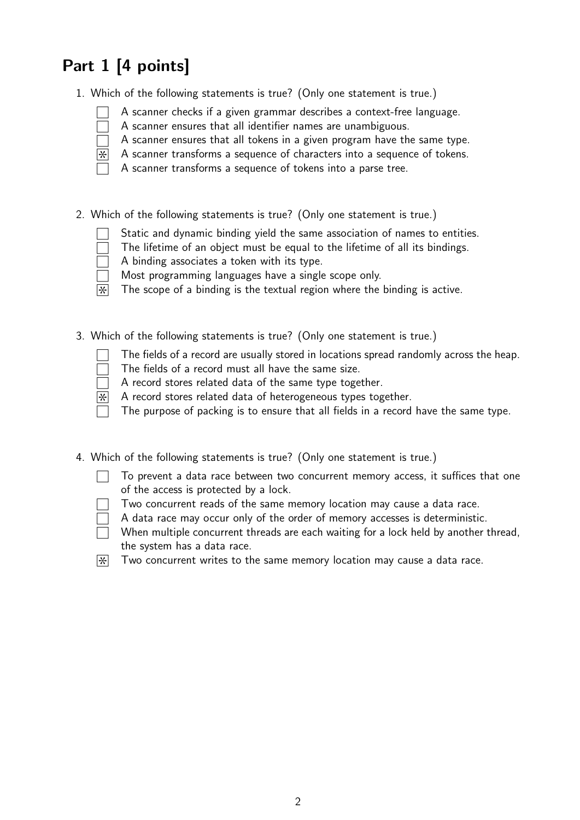## Part 1 [4 points]

- 1. Which of the following statements is true? (Only one statement is true.) Ü
	- Ü A scanner checks if a given grammar describes a context-free language.
	- Ü A scanner ensures that all identifier names are unambiguous.
	- $\Box$ A scanner ensures that all tokens in a given program have the same type.
	- $\mathbb R$  A scanner transforms a sequence of characters into a sequence of tokens.
	- $\Box$  A scanner transforms a sequence of tokens into a parse tree.
- 2. Which of the following statements is true? (Only one statement is true.) Ü
	- Ü Static and dynamic binding yield the same association of names to entities.
	- Ü The lifetime of an object must be equal to the lifetime of all its bindings.
	- Ü A binding associates a token with its type.
	- $\Box$ Most programming languages have a single scope only.
	- $\mathbb{R}$  The scope of a binding is the textual region where the binding is active.
- 3. Which of the following statements is true? (Only one statement is true.) Ü
	- Ü The fields of a record are usually stored in locations spread randomly across the heap.
	- Ü The fields of a record must all have the same size.
	- $\Box$  A record stores related data of the same type together.
	- $\mathbb R$  A record stores related data of heterogeneous types together.
	- The purpose of packing is to ensure that all fields in a record have the same type.
- 4. Which of the following statements is true? (Only one statement is true.)
	- To prevent a data race between two concurrent memory access, it suffices that one of the access is protected by a lock.
	- Ü Two concurrent reads of the same memory location may cause a data race.
	- Ü A data race may occur only of the order of memory accesses is deterministic.
	- When multiple concurrent threads are each waiting for a lock held by another thread, the system has a data race.
	- $\mathbb{R}$  Two concurrent writes to the same memory location may cause a data race.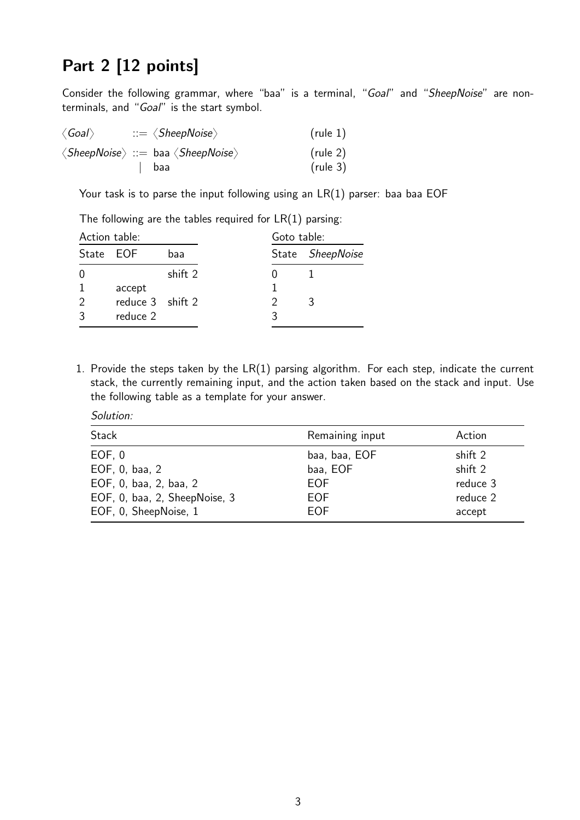## Part 2 [12 points]

Consider the following grammar, where "baa" is a terminal, "Goal" and "SheepNoise" are nonterminals, and "Goal" is the start symbol.

| $\langle$ Goal $\rangle$ | $\Rightarrow$ $\langle SheepNoise\rangle$                       | (rule 1) |
|--------------------------|-----------------------------------------------------------------|----------|
|                          | $\langle SheepNoise\rangle ::=$ baa $\langle SheepNoise\rangle$ | (rule 2) |
|                          | baa                                                             | (rule 3) |

Your task is to parse the input following using an LR(1) parser: baa baa EOF

The following are the tables required for  $LR(1)$  parsing:

| Action table: |                  | Goto table: |  |                  |
|---------------|------------------|-------------|--|------------------|
| State EOF     |                  | baa         |  | State SheepNoise |
|               |                  | shift 2     |  |                  |
|               | accept           |             |  |                  |
|               | reduce 3 shift 2 |             |  |                  |
|               | reduce 2         |             |  |                  |

1. Provide the steps taken by the  $LR(1)$  parsing algorithm. For each step, indicate the current stack, the currently remaining input, and the action taken based on the stack and input. Use the following table as a template for your answer.

| Solution: |
|-----------|
|           |

| <b>Stack</b>                  | Remaining input | Action   |
|-------------------------------|-----------------|----------|
| EOF, 0                        | baa, baa, EOF   | shift 2  |
| EOF, 0, baa, 2                | baa, EOF        | shift 2  |
| EOF, 0, baa, 2, baa, 2        | EOF             | reduce 3 |
| EOF, 0, baa, 2, SheepNoise, 3 | EOF             | reduce 2 |
| EOF, 0, SheepNoise, 1         | <b>EOF</b>      | accept   |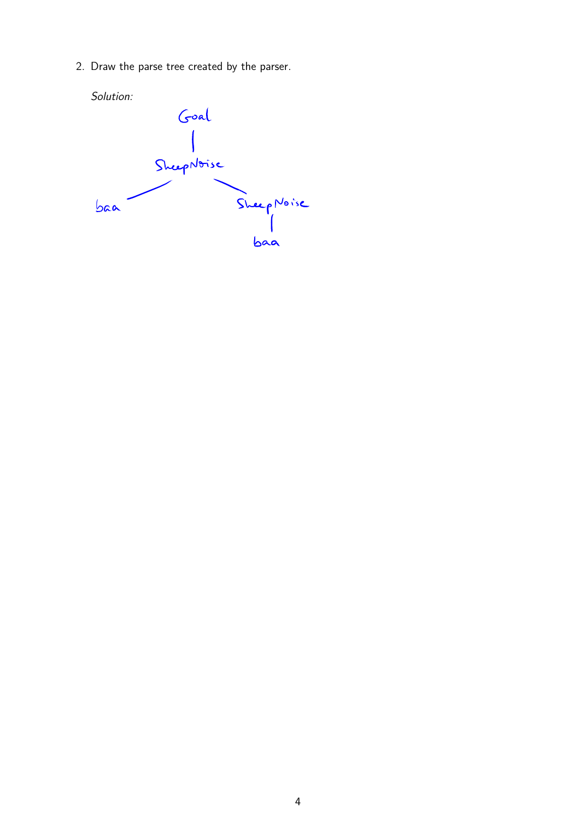2. Draw the parse tree created by the parser.

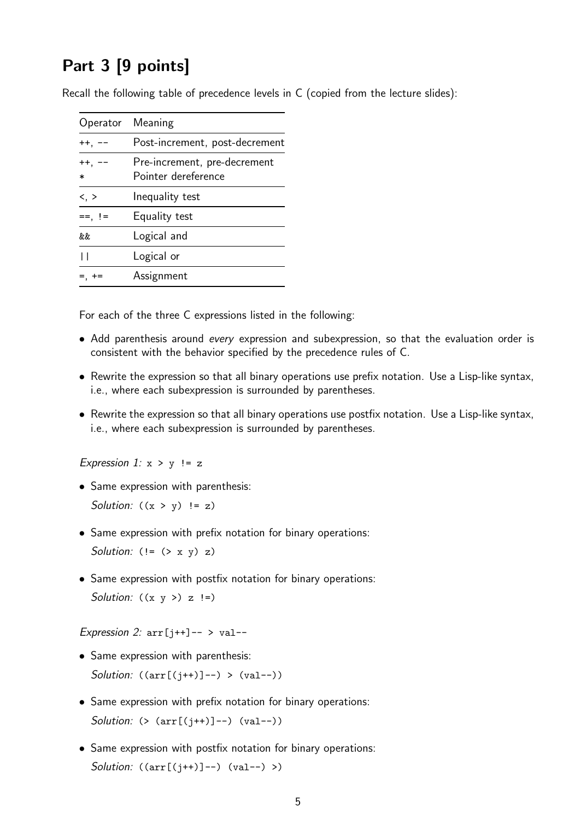### Part 3 [9 points]

Recall the following table of precedence levels in C (copied from the lecture slides):

| Operator            | Meaning                                             |  |
|---------------------|-----------------------------------------------------|--|
| ++, --              | Post-increment, post-decrement                      |  |
| $++, --$<br>$\ast$  | Pre-increment, pre-decrement<br>Pointer dereference |  |
| $\langle , \rangle$ | Inequality test                                     |  |
| $==, 1=$            | Equality test                                       |  |
| &&.                 | Logical and                                         |  |
| П                   | Logical or                                          |  |
|                     | Assignment                                          |  |

For each of the three C expressions listed in the following:

- Add parenthesis around every expression and subexpression, so that the evaluation order is consistent with the behavior specified by the precedence rules of C.
- Rewrite the expression so that all binary operations use prefix notation. Use a Lisp-like syntax, i.e., where each subexpression is surrounded by parentheses.
- Rewrite the expression so that all binary operations use postfix notation. Use a Lisp-like syntax, i.e., where each subexpression is surrounded by parentheses.

Expression 1:  $x > y$  != z

• Same expression with parenthesis:

Solution:  $((x > y) := z)$ 

- Same expression with prefix notation for binary operations: Solution:  $(!= (> x y) z)$
- Same expression with postfix notation for binary operations: Solution:  $((x \ y \ >) \ z \ |=)$

Expression 2:  $\arctan^{-1}$  -- >  $\arctan^{-1}$ 

- Same expression with parenthesis: Solution:  $((arr[(i++)]--) > (val--))$
- Same expression with prefix notation for binary operations: Solution:  $(>(arr[(i++)]--) (val--))$
- Same expression with postfix notation for binary operations: Solution:  $((arr[(i++)]--) (val--) >)$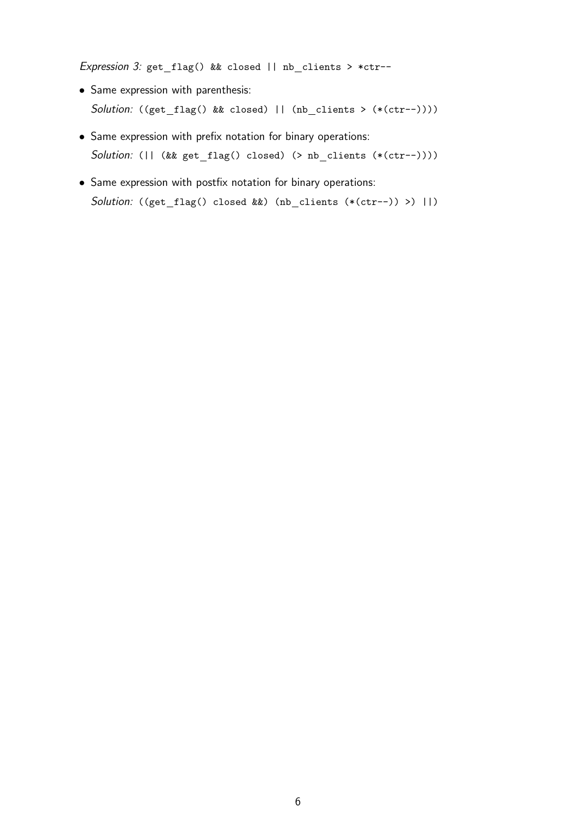Expression 3: get\_flag() && closed  $||$  nb\_clients > \*ctr--

- Same expression with parenthesis: Solution:  $((get_flag() \& closed) || (nb_clients > (*(ctr--))))$
- Same expression with prefix notation for binary operations: Solution: (|| (&& get\_flag() closed) (> nb\_clients (\*(ctr--))))
- Same expression with postfix notation for binary operations: Solution: ((get\_flag() closed &&) (nb\_clients (\*(ctr--)) >) ||)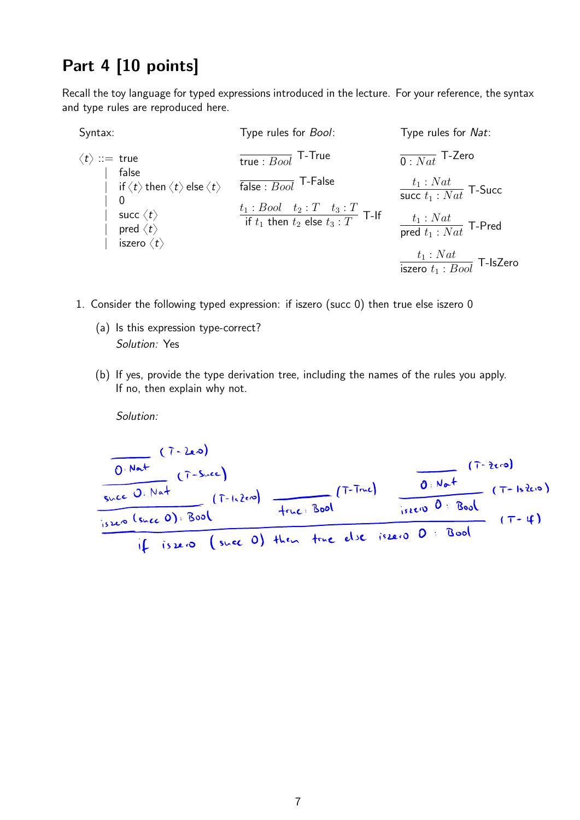#### Part 4 [10 points]

Recall the toy language for typed expressions introduced in the lecture. For your reference, the syntax and type rules are reproduced here.

Syntax:  $\langle t \rangle ::=$  true | false  $\frac{1}{\sin \theta}$  if  $\langle t \rangle$  then  $\langle t \rangle$  else  $\langle t \rangle$   $\frac{1}{\sinh \theta}$  T-False  $\vert 0$  $|\quad$  succ  $\langle t\rangle$  $|\quad$  pred  $\langle t\rangle$ | iszero  $\langle t \rangle$ Type rules for Bool: true :  $Bool$  T-True  $t_1 : Bool \t t_2 : T \t t_3 : T$ if  $t_1$  then  $t_2$  else  $t_3$  : T T-If  $t_1$  : Nat Type rules for Nat:  $\overline{0: Nat}$  T-Zero  $t_1$ : Nat  $\frac{v_1 + 1 + uv}{\sqrt{2}}$  T-Succ  $\frac{v_1 \cdot r \cdot uv}{\text{pred } t_1 \cdot Nat}$  T-Pred  $t_1$ : Nat  $\frac{1}{\sqrt{1 + 1 + 2}}$  T-IsZero

- 1. Consider the following typed expression: if iszero (succ 0) then true else iszero 0
	- (a) Is this expression type-correct? Solution: Yes
	- (b) If yes, provide the type derivation tree, including the names of the rules you apply. If no, then explain why not.

Solution:

| 0. Nat                                                     | (7-2a0)        | (7-2a0)        |                |                |
|------------------------------------------------------------|----------------|----------------|----------------|----------------|
| Since 0. Nat                                               | (7-1,2e0)      | True: $Bool$   | ①: $No +$      | (7-1,2e0)      |
| Use 0. Since 0): $Bool$                                    | True: $Bool$   | True: $Bool$   | True: $0. Bol$ | True: $0. Bol$ |
| if  is zero (since 0) the true true else is zero 0. $Bool$ | True: $0. Bol$ | True: $0. Bol$ |                |                |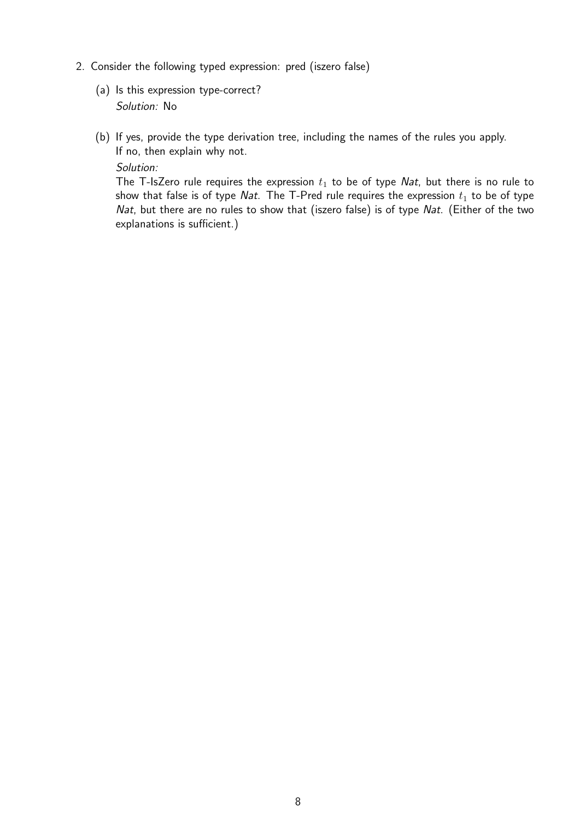- 2. Consider the following typed expression: pred (iszero false)
	- (a) Is this expression type-correct? Solution: No
	- (b) If yes, provide the type derivation tree, including the names of the rules you apply. If no, then explain why not.

Solution:

The T-IsZero rule requires the expression  $t_1$  to be of type Nat, but there is no rule to show that false is of type Nat. The T-Pred rule requires the expression  $t_1$  to be of type Nat, but there are no rules to show that (iszero false) is of type Nat. (Either of the two explanations is sufficient.)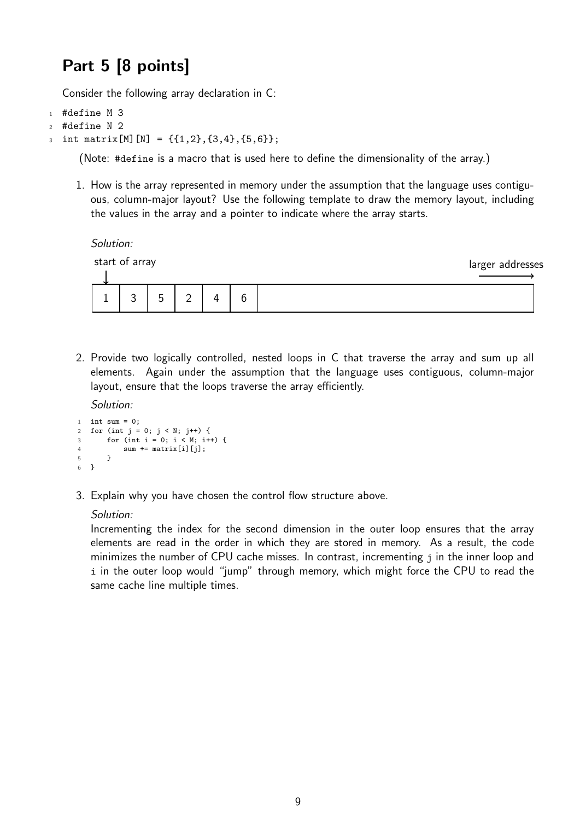## Part 5 [8 points]

Consider the following array declaration in C:

```
1 #define M 3
2 #define N 2
```

```
int matrix[M][N] = \{\{1,2\},\{3,4\},\{5,6\}\};
```
(Note: #define is a macro that is used here to define the dimensionality of the array.)

1. How is the array represented in memory under the assumption that the language uses contiguous, column-major layout? Use the following template to draw the memory layout, including the values in the array and a pointer to indicate where the array starts.

Solution:



2. Provide two logically controlled, nested loops in C that traverse the array and sum up all elements. Again under the assumption that the language uses contiguous, column-major layout, ensure that the loops traverse the array efficiently.

Solution:

```
1 int sum = 0;
2 for (int j = 0; j < N; j^{++}) {
3 for (int i = 0; i < M; i++) {
4 sum += matrix[i][j];
5 }
6 }
```
3. Explain why you have chosen the control flow structure above.

#### Solution:

Incrementing the index for the second dimension in the outer loop ensures that the array elements are read in the order in which they are stored in memory. As a result, the code minimizes the number of CPU cache misses. In contrast, incrementing j in the inner loop and i in the outer loop would "jump" through memory, which might force the CPU to read the same cache line multiple times.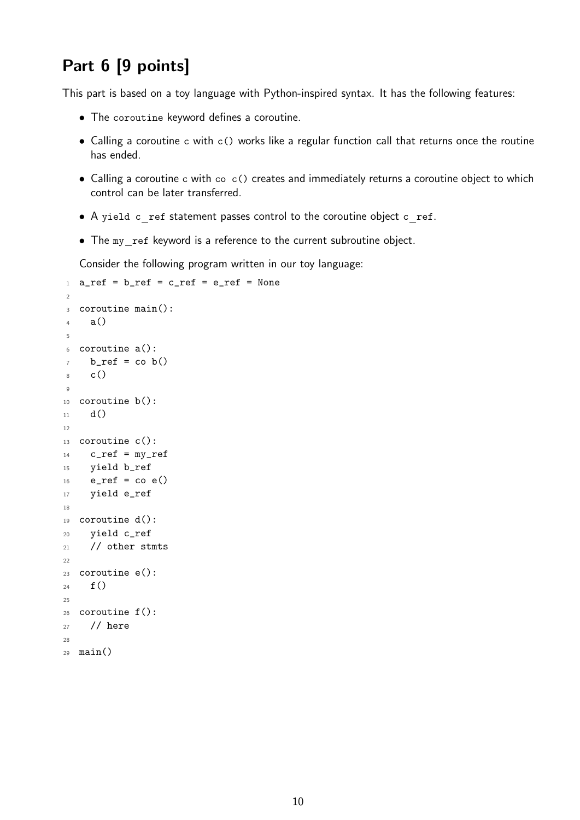## Part 6 [9 points]

This part is based on a toy language with Python-inspired syntax. It has the following features:

- The coroutine keyword defines a coroutine.
- Calling a coroutine c with c() works like a regular function call that returns once the routine has ended.
- Calling a coroutine c with co c() creates and immediately returns a coroutine object to which control can be later transferred.
- A yield  $c$  ref statement passes control to the coroutine object  $c$  ref.
- The my ref keyword is a reference to the current subroutine object.

Consider the following program written in our toy language:

```
1 a_ref = b_ref = c_ref = e_ref = None
\overline{2}3 coroutine main():
4 \text{ a}()5
6 coroutine a():
7 b_ref = co b()
8 c()
9
10 coroutine b():
_{11} d()
12
13 coroutine c():
14 c_ref = my_ref
15 yield b_ref
_{16} e_ref = co e()
17 yield e_ref
18
19 coroutine d():
20 yield c_ref
21 // other stmts
22
23 coroutine e():
24 \quad \text{f}()25
26 coroutine f():
27 // here
28
29 main()
```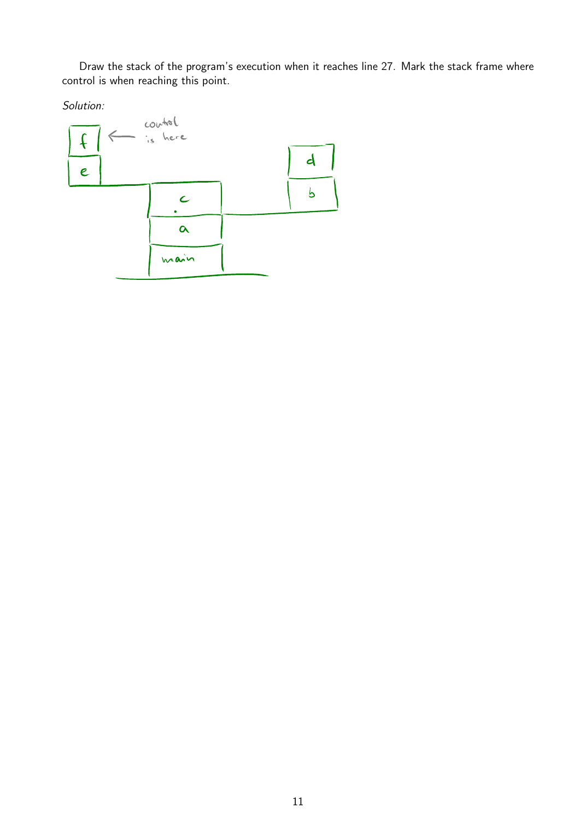Draw the stack of the program's execution when it reaches line 27. Mark the stack frame where control is when reaching this point.

Solution: